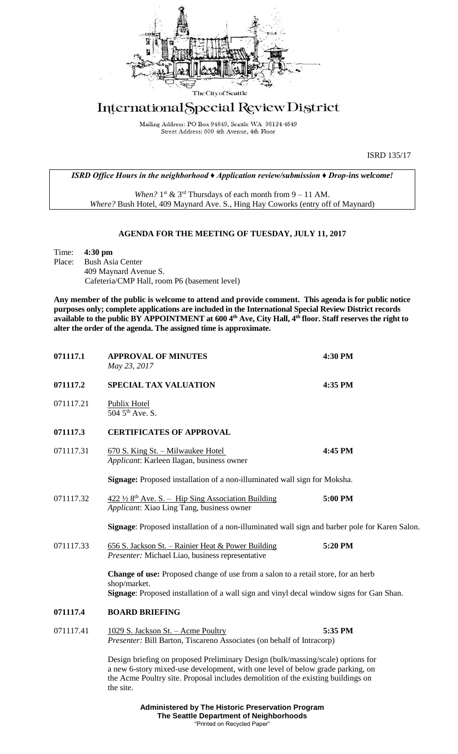

# International Special Review District

Mailing Address: PO Box 94649, Seattle WA 98124-4649 Street Address: 600 4th Avenue, 4th Floor

ISRD 135/17

*ISRD Office Hours in the neighborhood ♦ Application review/submission ♦ Drop-ins welcome!*

When?  $1^{st}$  &  $3^{rd}$  Thursdays of each month from  $9 - 11$  AM. *Where?* Bush Hotel, 409 Maynard Ave. S., Hing Hay Coworks (entry off of Maynard)

# **AGENDA FOR THE MEETING OF TUESDAY, JULY 11, 2017**

| Time: $4:30 \text{ pm}$                      |
|----------------------------------------------|
| Place: Bush Asia Center                      |
| 409 Maynard Avenue S.                        |
| Cafeteria/CMP Hall, room P6 (basement level) |

**Any member of the public is welcome to attend and provide comment. This agenda is for public notice purposes only; complete applications are included in the International Special Review District records available to the public BY APPOINTMENT at 600 4th Ave, City Hall, 4th floor. Staff reserves the right to alter the order of the agenda. The assigned time is approximate.** 

| 071117.1  | <b>APPROVAL OF MINUTES</b><br>May 23, 2017                                                                                                                                                                                                                         | 4:30 PM |  |
|-----------|--------------------------------------------------------------------------------------------------------------------------------------------------------------------------------------------------------------------------------------------------------------------|---------|--|
| 071117.2  | <b>SPECIAL TAX VALUATION</b>                                                                                                                                                                                                                                       | 4:35 PM |  |
| 071117.21 | Publix Hotel<br>504 5 <sup>th</sup> Ave. S.                                                                                                                                                                                                                        |         |  |
| 071117.3  | <b>CERTIFICATES OF APPROVAL</b>                                                                                                                                                                                                                                    |         |  |
| 071117.31 | 670 S. King St. - Milwaukee Hotel<br>Applicant: Karleen Ilagan, business owner                                                                                                                                                                                     | 4:45 PM |  |
|           | Signage: Proposed installation of a non-illuminated wall sign for Moksha.                                                                                                                                                                                          |         |  |
| 071117.32 | $422\frac{1}{2}$ 8 <sup>th</sup> Ave. S. – Hip Sing Association Building<br>Applicant: Xiao Ling Tang, business owner                                                                                                                                              | 5:00 PM |  |
|           | Signage: Proposed installation of a non-illuminated wall sign and barber pole for Karen Salon.                                                                                                                                                                     |         |  |
| 071117.33 | 656 S. Jackson St. – Rainier Heat & Power Building<br>Presenter: Michael Liao, business representative                                                                                                                                                             | 5:20 PM |  |
|           | Change of use: Proposed change of use from a salon to a retail store, for an herb<br>shop/market.<br>Signage: Proposed installation of a wall sign and vinyl decal window signs for Gan Shan.                                                                      |         |  |
| 071117.4  | <b>BOARD BRIEFING</b>                                                                                                                                                                                                                                              |         |  |
| 071117.41 | 1029 S. Jackson St. - Acme Poultry<br>Presenter: Bill Barton, Tiscareno Associates (on behalf of Intracorp)                                                                                                                                                        | 5:35 PM |  |
|           | Design briefing on proposed Preliminary Design (bulk/massing/scale) options for<br>a new 6-story mixed-use development, with one level of below grade parking, on<br>the Acme Poultry site. Proposal includes demolition of the existing buildings on<br>the site. |         |  |